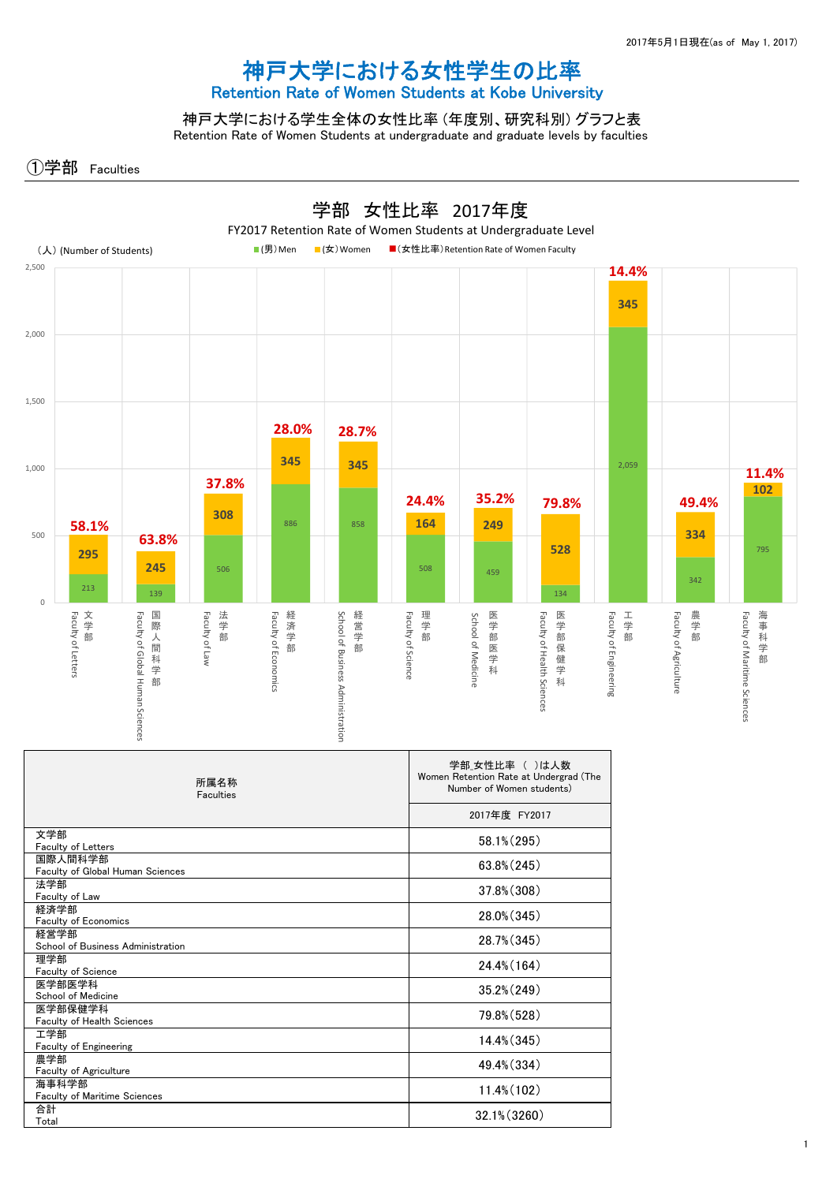## 神戸大学における女性学生の比率 Retention Rate of Women Students at Kobe University

神戸大学における学生全体の女性比率 (年度別、研究科別) グラフと表 Retention Rate of Women Students at undergraduate and graduate levels by faculties

①学部 Faculties



| 所属名称<br>Faculties                            | 学部 女性比率 ( )は人数<br>Women Retention Rate at Undergrad (The<br>Number of Women students) |
|----------------------------------------------|---------------------------------------------------------------------------------------|
|                                              | 2017年度 FY2017                                                                         |
| 文学部<br><b>Faculty of Letters</b>             | 58.1% (295)                                                                           |
| 国際人間科学部<br>Faculty of Global Human Sciences  | 63.8% (245)                                                                           |
| 法学部<br>Faculty of Law                        | 37.8% (308)                                                                           |
| 経済学部<br>Faculty of Economics                 | 28.0% (345)                                                                           |
| 経営学部<br>School of Business Administration    | 28.7% (345)                                                                           |
| 理学部<br>Faculty of Science                    | 24.4% (164)                                                                           |
| 医学部医学科<br>School of Medicine                 | $35.2\% (249)$                                                                        |
| 医学部保健学科<br><b>Faculty of Health Sciences</b> | 79.8% (528)                                                                           |
| 工学部<br>Faculty of Engineering                | 14.4% (345)                                                                           |
| 農学部<br>Faculty of Agriculture                | 49.4% (334)                                                                           |
| 海事科学部<br><b>Faculty of Maritime Sciences</b> | 11.4% (102)                                                                           |
| 合計<br>Total                                  | 32.1% (3260)                                                                          |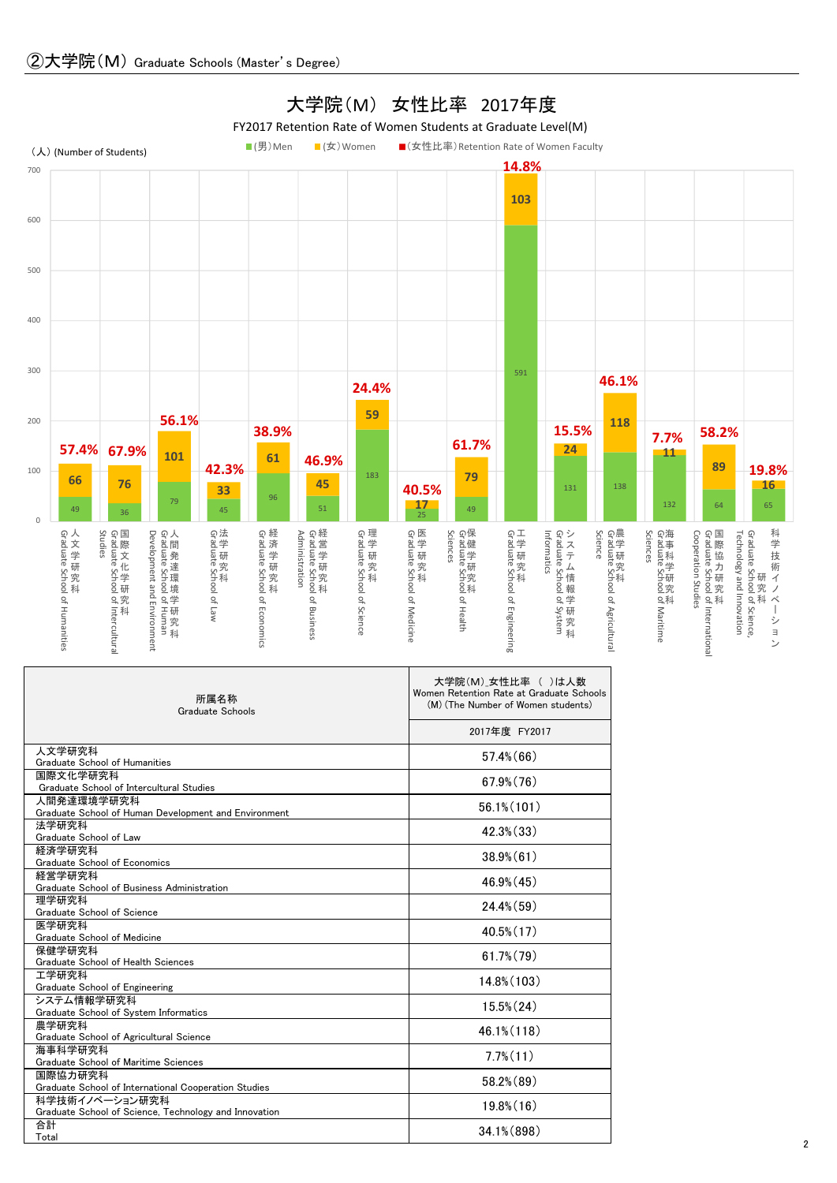

Т

٦

| 所属名称<br>Graduate Schools                                           | 大学院(M) 女性比率 ( )は人数<br>Women Retention Rate at Graduate Schools<br>(M) (The Number of Women students) |
|--------------------------------------------------------------------|------------------------------------------------------------------------------------------------------|
|                                                                    | 2017年度 FY2017                                                                                        |
| 人文学研究科<br>Graduate School of Humanities                            | $57.4\%$ (66)                                                                                        |
| 国際文化学研究科                                                           | $67.9\%$ $(76)$                                                                                      |
| Graduate School of Intercultural Studies                           |                                                                                                      |
| 人間発達環境学研究科<br>Graduate School of Human Development and Environment | $56.1\%$ (101)                                                                                       |
| 法学研究科                                                              |                                                                                                      |
| Graduate School of Law                                             | $42.3\%$ $(33)$                                                                                      |
| 経済学研究科                                                             | $38.9\%$ $(61)$                                                                                      |
| Graduate School of Economics                                       |                                                                                                      |
| 経営学研究科<br>Graduate School of Business Administration               | $46.9\%$ (45)                                                                                        |
| 理学研究科                                                              |                                                                                                      |
| Graduate School of Science                                         | $24.4\%$ (59)                                                                                        |
| 医学研究科                                                              | $40.5\%$ (17)                                                                                        |
| Graduate School of Medicine                                        |                                                                                                      |
| 保健学研究科                                                             | $61.7\%$ $(79)$                                                                                      |
| Graduate School of Health Sciences                                 |                                                                                                      |
| 工学研究科<br>Graduate School of Engineering                            | 14.8% (103)                                                                                          |
| システム情報学研究科                                                         |                                                                                                      |
| Graduate School of System Informatics                              | $15.5\%$ $(24)$                                                                                      |
| 農学研究科                                                              |                                                                                                      |
| Graduate School of Agricultural Science                            | $46.1\%$ (118)                                                                                       |
| 海事科学研究科                                                            | $7.7\%$ $(11)$                                                                                       |
| Graduate School of Maritime Sciences                               |                                                                                                      |
| 国際協力研究科<br>Graduate School of International Cooperation Studies    | 58.2% (89)                                                                                           |
| 科学技術イノベーション研究科                                                     |                                                                                                      |
| Graduate School of Science, Technology and Innovation              | $19.8\%$ $(16)$                                                                                      |
| 合計                                                                 | 34.1% (898)                                                                                          |
| Total                                                              |                                                                                                      |

## 大学院(M) 女性比率 2017年度